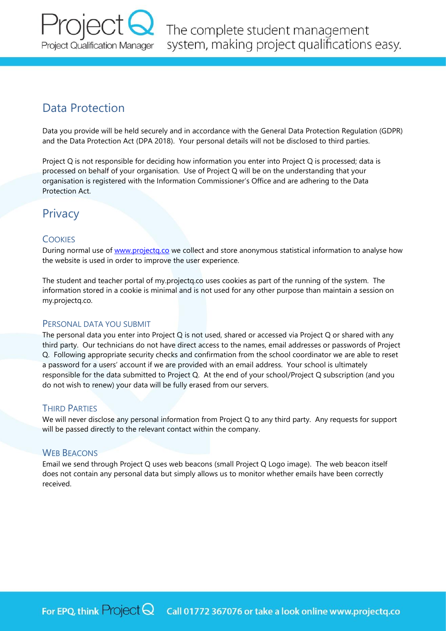

# Data Protection

Data you provide will be held securely and in accordance with the General Data Protection Regulation (GDPR) and the Data Protection Act (DPA 2018). Your personal details will not be disclosed to third parties.

Project Q is not responsible for deciding how information you enter into Project Q is processed; data is processed on behalf of your organisation. Use of Project Q will be on the understanding that your organisation is registered with the Information Commissioner's Office and are adhering to the Data Protection Act.

## **Privacy**

## **COOKIES**

During normal use of [www.projectq.co](http://www.projectq.co/) we collect and store anonymous statistical information to analyse how the website is used in order to improve the user experience.

The student and teacher portal of my.projectq.co uses cookies as part of the running of the system. The information stored in a cookie is minimal and is not used for any other purpose than maintain a session on my.projectq.co.

### PERSONAL DATA YOU SUBMIT

The personal data you enter into Project Q is not used, shared or accessed via Project Q or shared with any third party. Our technicians do not have direct access to the names, email addresses or passwords of Project Q. Following appropriate security checks and confirmation from the school coordinator we are able to reset a password for a users' account if we are provided with an email address. Your school is ultimately responsible for the data submitted to Project Q. At the end of your school/Project Q subscription (and you do not wish to renew) your data will be fully erased from our servers.

## **THIRD PARTIFS**

We will never disclose any personal information from Project Q to any third party. Any requests for support will be passed directly to the relevant contact within the company.

### WEB BEACONS

Email we send through Project Q uses web beacons (small Project Q Logo image). The web beacon itself does not contain any personal data but simply allows us to monitor whether emails have been correctly received.